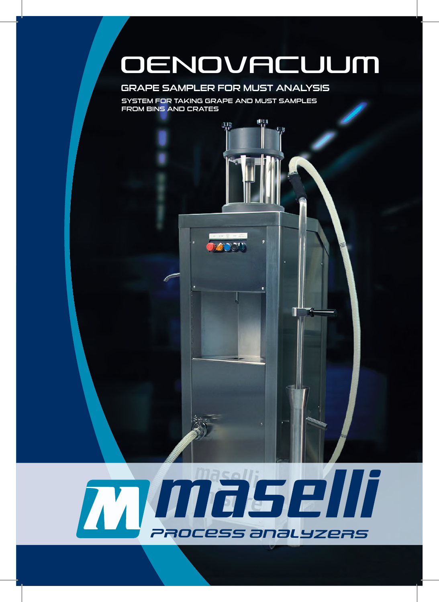# OENOVACUUM

Π

## GRAPE SAMPLER FOR MUST ANALYSIS

щ

SYSTEM FOR TAKING GRAPE AND MUST SAMPLES FROM BINS AND CRATES